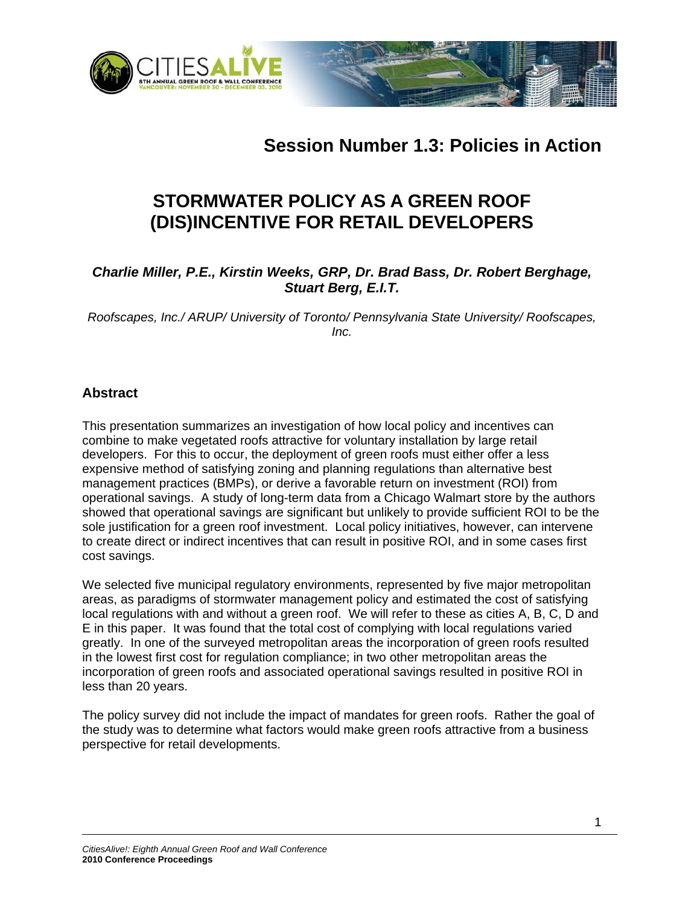



# **STORMWATER POLICY AS A GREEN ROOF (DIS)INCENTIVE FOR RETAIL DEVELOPERS**

## *Charlie Miller, P.E., Kirstin Weeks, GRP, Dr. Brad Bass, Dr. Robert Berghage, Stuart Berg, E.I.T.*

*Roofscapes, Inc./ ARUP/ University of Toronto/ Pennsylvania State University/ Roofscapes, Inc.* 

## **Abstract**

This presentation summarizes an investigation of how local policy and incentives can combine to make vegetated roofs attractive for voluntary installation by large retail developers. For this to occur, the deployment of green roofs must either offer a less expensive method of satisfying zoning and planning regulations than alternative best management practices (BMPs), or derive a favorable return on investment (ROI) from operational savings. A study of long-term data from a Chicago Walmart store by the authors showed that operational savings are significant but unlikely to provide sufficient ROI to be the sole justification for a green roof investment. Local policy initiatives, however, can intervene to create direct or indirect incentives that can result in positive ROI, and in some cases first cost savings.

We selected five municipal regulatory environments, represented by five major metropolitan areas, as paradigms of stormwater management policy and estimated the cost of satisfying local regulations with and without a green roof. We will refer to these as cities A, B, C, D and E in this paper. It was found that the total cost of complying with local regulations varied greatly. In one of the surveyed metropolitan areas the incorporation of green roofs resulted in the lowest first cost for regulation compliance; in two other metropolitan areas the incorporation of green roofs and associated operational savings resulted in positive ROI in less than 20 years.

The policy survey did not include the impact of mandates for green roofs. Rather the goal of the study was to determine what factors would make green roofs attractive from a business perspective for retail developments.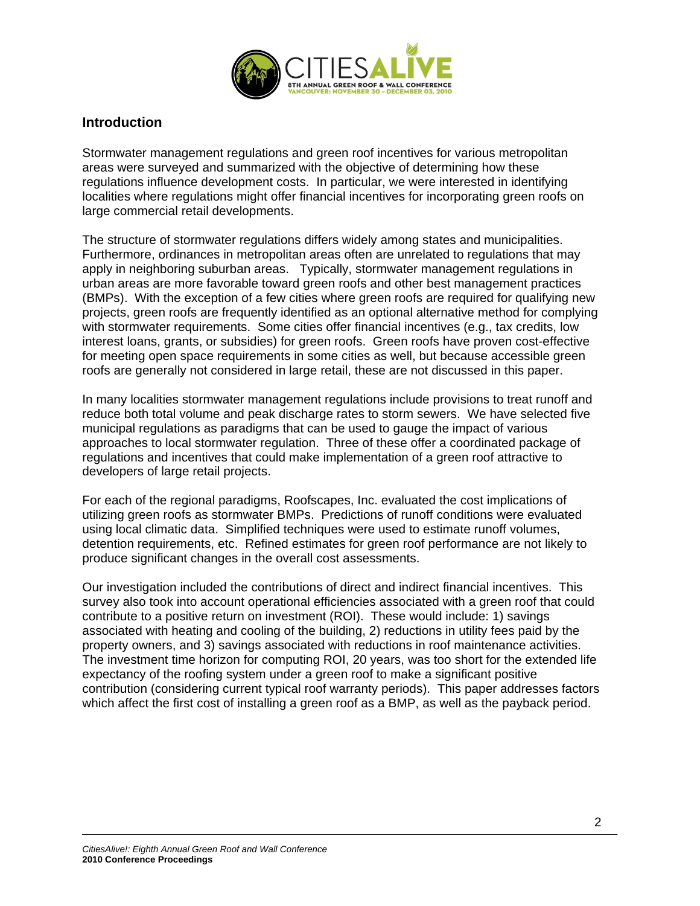

#### **Introduction**

Stormwater management regulations and green roof incentives for various metropolitan areas were surveyed and summarized with the objective of determining how these regulations influence development costs. In particular, we were interested in identifying localities where regulations might offer financial incentives for incorporating green roofs on large commercial retail developments.

The structure of stormwater regulations differs widely among states and municipalities. Furthermore, ordinances in metropolitan areas often are unrelated to regulations that may apply in neighboring suburban areas. Typically, stormwater management regulations in urban areas are more favorable toward green roofs and other best management practices (BMPs). With the exception of a few cities where green roofs are required for qualifying new projects, green roofs are frequently identified as an optional alternative method for complying with stormwater requirements. Some cities offer financial incentives (e.g., tax credits, low interest loans, grants, or subsidies) for green roofs. Green roofs have proven cost-effective for meeting open space requirements in some cities as well, but because accessible green roofs are generally not considered in large retail, these are not discussed in this paper.

In many localities stormwater management regulations include provisions to treat runoff and reduce both total volume and peak discharge rates to storm sewers. We have selected five municipal regulations as paradigms that can be used to gauge the impact of various approaches to local stormwater regulation. Three of these offer a coordinated package of regulations and incentives that could make implementation of a green roof attractive to developers of large retail projects.

For each of the regional paradigms, Roofscapes, Inc. evaluated the cost implications of utilizing green roofs as stormwater BMPs. Predictions of runoff conditions were evaluated using local climatic data. Simplified techniques were used to estimate runoff volumes, detention requirements, etc. Refined estimates for green roof performance are not likely to produce significant changes in the overall cost assessments.

Our investigation included the contributions of direct and indirect financial incentives. This survey also took into account operational efficiencies associated with a green roof that could contribute to a positive return on investment (ROI). These would include: 1) savings associated with heating and cooling of the building, 2) reductions in utility fees paid by the property owners, and 3) savings associated with reductions in roof maintenance activities. The investment time horizon for computing ROI, 20 years, was too short for the extended life expectancy of the roofing system under a green roof to make a significant positive contribution (considering current typical roof warranty periods). This paper addresses factors which affect the first cost of installing a green roof as a BMP, as well as the payback period.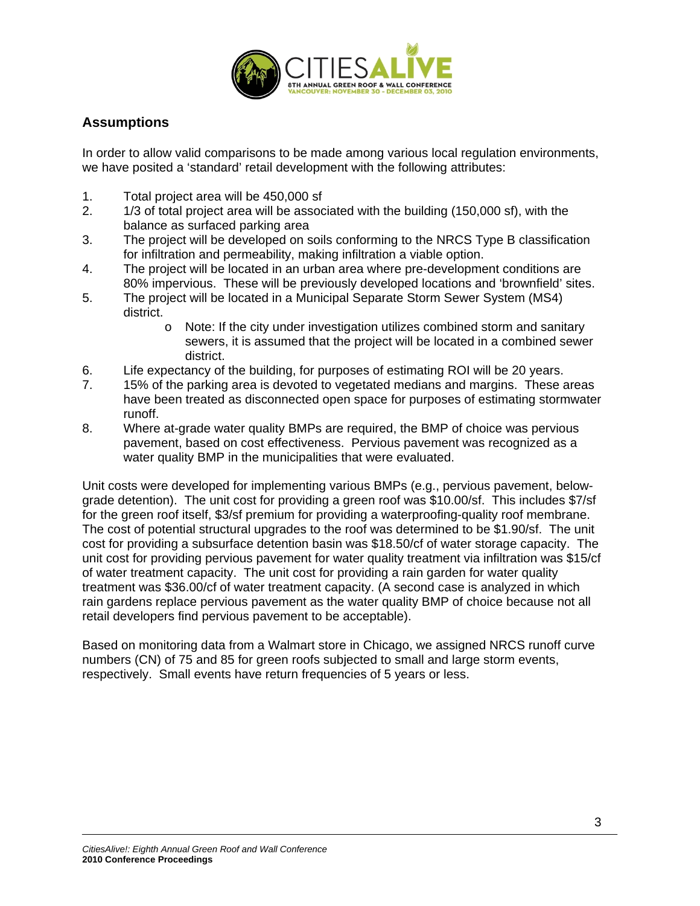

# **Assumptions**

In order to allow valid comparisons to be made among various local regulation environments, we have posited a 'standard' retail development with the following attributes:

- 1. Total project area will be 450,000 sf
- 2. 1/3 of total project area will be associated with the building (150,000 sf), with the balance as surfaced parking area
- 3. The project will be developed on soils conforming to the NRCS Type B classification for infiltration and permeability, making infiltration a viable option.
- 4. The project will be located in an urban area where pre-development conditions are 80% impervious. These will be previously developed locations and 'brownfield' sites.
- 5. The project will be located in a Municipal Separate Storm Sewer System (MS4) district.
	- o Note: If the city under investigation utilizes combined storm and sanitary sewers, it is assumed that the project will be located in a combined sewer district.
- 6. Life expectancy of the building, for purposes of estimating ROI will be 20 years.
- 7. 15% of the parking area is devoted to vegetated medians and margins. These areas have been treated as disconnected open space for purposes of estimating stormwater runoff.
- 8. Where at-grade water quality BMPs are required, the BMP of choice was pervious pavement, based on cost effectiveness. Pervious pavement was recognized as a water quality BMP in the municipalities that were evaluated.

Unit costs were developed for implementing various BMPs (e.g., pervious pavement, belowgrade detention). The unit cost for providing a green roof was \$10.00/sf. This includes \$7/sf for the green roof itself, \$3/sf premium for providing a waterproofing-quality roof membrane. The cost of potential structural upgrades to the roof was determined to be \$1.90/sf. The unit cost for providing a subsurface detention basin was \$18.50/cf of water storage capacity. The unit cost for providing pervious pavement for water quality treatment via infiltration was \$15/cf of water treatment capacity. The unit cost for providing a rain garden for water quality treatment was \$36.00/cf of water treatment capacity. (A second case is analyzed in which rain gardens replace pervious pavement as the water quality BMP of choice because not all retail developers find pervious pavement to be acceptable).

Based on monitoring data from a Walmart store in Chicago, we assigned NRCS runoff curve numbers (CN) of 75 and 85 for green roofs subjected to small and large storm events, respectively. Small events have return frequencies of 5 years or less.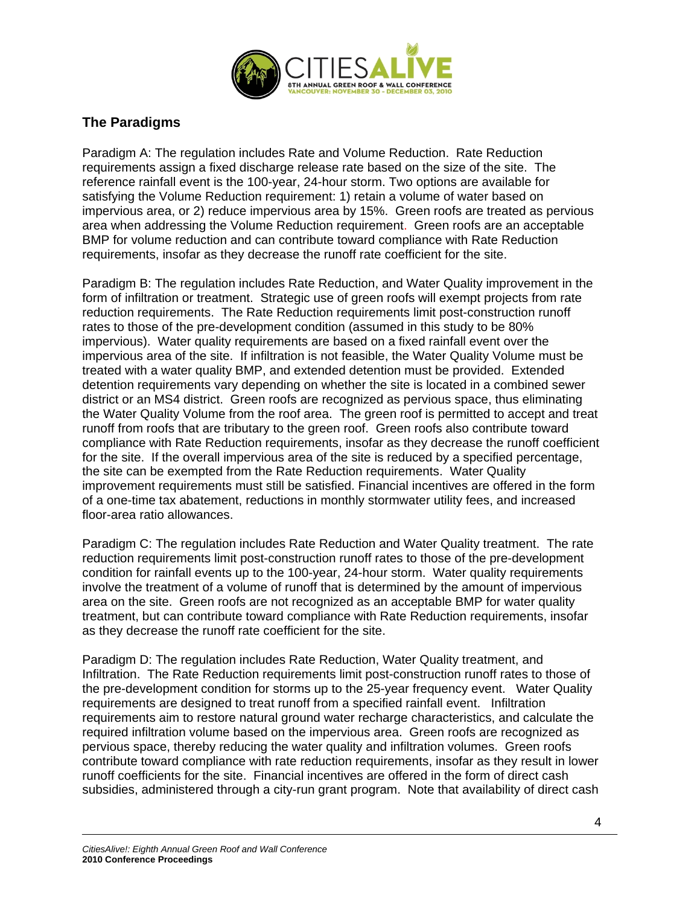

## **The Paradigms**

Paradigm A: The regulation includes Rate and Volume Reduction. Rate Reduction requirements assign a fixed discharge release rate based on the size of the site. The reference rainfall event is the 100-year, 24-hour storm. Two options are available for satisfying the Volume Reduction requirement: 1) retain a volume of water based on impervious area, or 2) reduce impervious area by 15%. Green roofs are treated as pervious area when addressing the Volume Reduction requirement. Green roofs are an acceptable BMP for volume reduction and can contribute toward compliance with Rate Reduction requirements, insofar as they decrease the runoff rate coefficient for the site.

Paradigm B: The regulation includes Rate Reduction, and Water Quality improvement in the form of infiltration or treatment. Strategic use of green roofs will exempt projects from rate reduction requirements. The Rate Reduction requirements limit post-construction runoff rates to those of the pre-development condition (assumed in this study to be 80% impervious). Water quality requirements are based on a fixed rainfall event over the impervious area of the site. If infiltration is not feasible, the Water Quality Volume must be treated with a water quality BMP, and extended detention must be provided. Extended detention requirements vary depending on whether the site is located in a combined sewer district or an MS4 district. Green roofs are recognized as pervious space, thus eliminating the Water Quality Volume from the roof area. The green roof is permitted to accept and treat runoff from roofs that are tributary to the green roof. Green roofs also contribute toward compliance with Rate Reduction requirements, insofar as they decrease the runoff coefficient for the site. If the overall impervious area of the site is reduced by a specified percentage, the site can be exempted from the Rate Reduction requirements. Water Quality improvement requirements must still be satisfied. Financial incentives are offered in the form of a one-time tax abatement, reductions in monthly stormwater utility fees, and increased floor-area ratio allowances.

Paradigm C: The regulation includes Rate Reduction and Water Quality treatment. The rate reduction requirements limit post-construction runoff rates to those of the pre-development condition for rainfall events up to the 100-year, 24-hour storm. Water quality requirements involve the treatment of a volume of runoff that is determined by the amount of impervious area on the site. Green roofs are not recognized as an acceptable BMP for water quality treatment, but can contribute toward compliance with Rate Reduction requirements, insofar as they decrease the runoff rate coefficient for the site.

Paradigm D: The regulation includes Rate Reduction, Water Quality treatment, and Infiltration. The Rate Reduction requirements limit post-construction runoff rates to those of the pre-development condition for storms up to the 25-year frequency event. Water Quality requirements are designed to treat runoff from a specified rainfall event. Infiltration requirements aim to restore natural ground water recharge characteristics, and calculate the required infiltration volume based on the impervious area. Green roofs are recognized as pervious space, thereby reducing the water quality and infiltration volumes. Green roofs contribute toward compliance with rate reduction requirements, insofar as they result in lower runoff coefficients for the site. Financial incentives are offered in the form of direct cash subsidies, administered through a city-run grant program. Note that availability of direct cash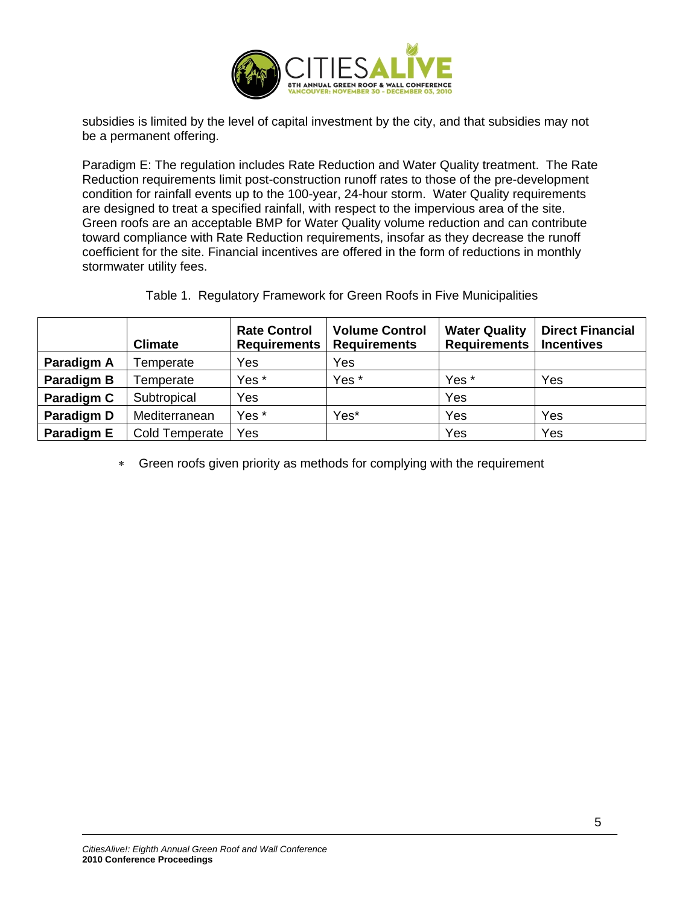

subsidies is limited by the level of capital investment by the city, and that subsidies may not be a permanent offering.

Paradigm E: The regulation includes Rate Reduction and Water Quality treatment. The Rate Reduction requirements limit post-construction runoff rates to those of the pre-development condition for rainfall events up to the 100-year, 24-hour storm. Water Quality requirements are designed to treat a specified rainfall, with respect to the impervious area of the site. Green roofs are an acceptable BMP for Water Quality volume reduction and can contribute toward compliance with Rate Reduction requirements, insofar as they decrease the runoff coefficient for the site. Financial incentives are offered in the form of reductions in monthly stormwater utility fees.

Table 1. Regulatory Framework for Green Roofs in Five Municipalities

|            | <b>Climate</b> | <b>Rate Control</b><br><b>Requirements</b> | <b>Volume Control</b><br><b>Requirements</b> | <b>Water Quality</b><br><b>Requirements</b> | <b>Direct Financial</b><br><b>Incentives</b> |
|------------|----------------|--------------------------------------------|----------------------------------------------|---------------------------------------------|----------------------------------------------|
| Paradigm A | Temperate      | Yes                                        | Yes                                          |                                             |                                              |
| Paradigm B | Temperate      | Yes *                                      | Yes *                                        | Yes *                                       | Yes                                          |
| Paradigm C | Subtropical    | Yes                                        |                                              | Yes                                         |                                              |
| Paradigm D | Mediterranean  | Yes *                                      | Yes*                                         | Yes                                         | Yes                                          |
| Paradigm E | Cold Temperate | Yes                                        |                                              | Yes                                         | Yes                                          |

∗ Green roofs given priority as methods for complying with the requirement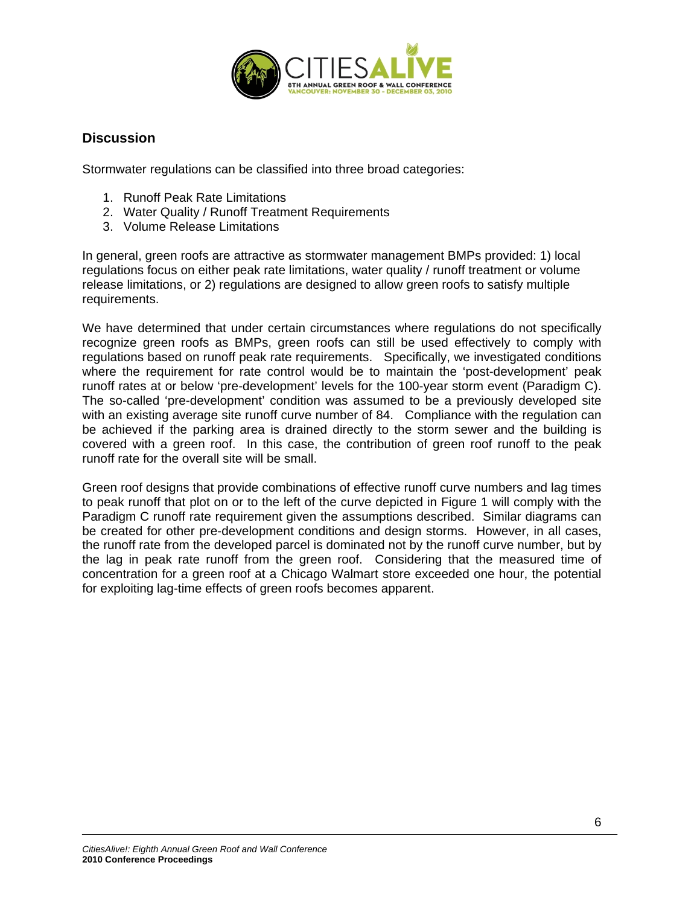

### **Discussion**

Stormwater regulations can be classified into three broad categories:

- 1. Runoff Peak Rate Limitations
- 2. Water Quality / Runoff Treatment Requirements
- 3. Volume Release Limitations

In general, green roofs are attractive as stormwater management BMPs provided: 1) local regulations focus on either peak rate limitations, water quality / runoff treatment or volume release limitations, or 2) regulations are designed to allow green roofs to satisfy multiple requirements.

We have determined that under certain circumstances where regulations do not specifically recognize green roofs as BMPs, green roofs can still be used effectively to comply with regulations based on runoff peak rate requirements. Specifically, we investigated conditions where the requirement for rate control would be to maintain the 'post-development' peak runoff rates at or below 'pre-development' levels for the 100-year storm event (Paradigm C). The so-called 'pre-development' condition was assumed to be a previously developed site with an existing average site runoff curve number of 84. Compliance with the regulation can be achieved if the parking area is drained directly to the storm sewer and the building is covered with a green roof. In this case, the contribution of green roof runoff to the peak runoff rate for the overall site will be small.

Green roof designs that provide combinations of effective runoff curve numbers and lag times to peak runoff that plot on or to the left of the curve depicted in Figure 1 will comply with the Paradigm C runoff rate requirement given the assumptions described. Similar diagrams can be created for other pre-development conditions and design storms. However, in all cases, the runoff rate from the developed parcel is dominated not by the runoff curve number, but by the lag in peak rate runoff from the green roof. Considering that the measured time of concentration for a green roof at a Chicago Walmart store exceeded one hour, the potential for exploiting lag-time effects of green roofs becomes apparent.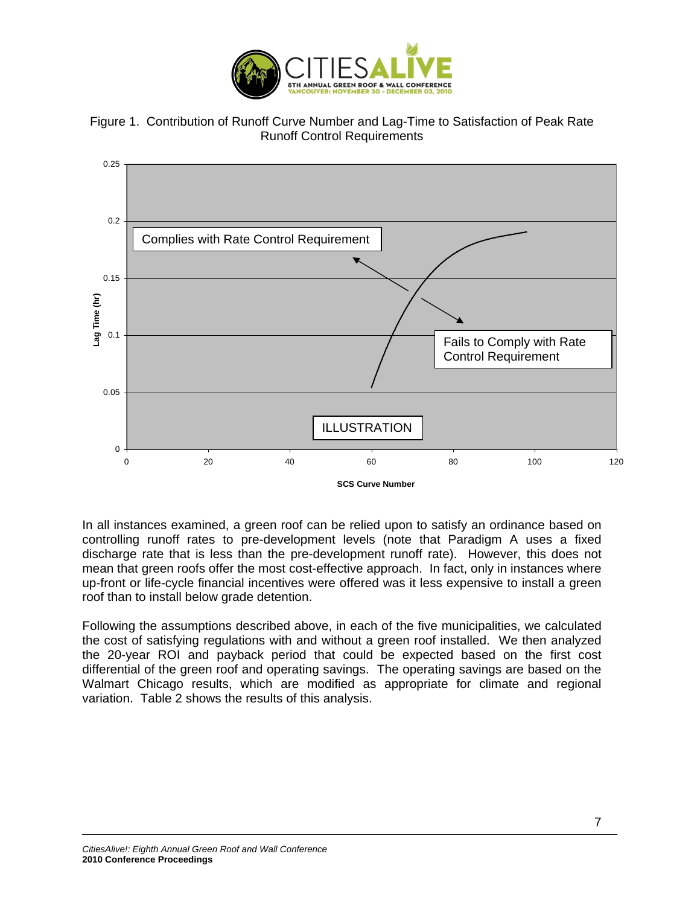





In all instances examined, a green roof can be relied upon to satisfy an ordinance based on controlling runoff rates to pre-development levels (note that Paradigm A uses a fixed discharge rate that is less than the pre-development runoff rate). However, this does not mean that green roofs offer the most cost-effective approach. In fact, only in instances where up-front or life-cycle financial incentives were offered was it less expensive to install a green roof than to install below grade detention.

Following the assumptions described above, in each of the five municipalities, we calculated the cost of satisfying regulations with and without a green roof installed. We then analyzed the 20-year ROI and payback period that could be expected based on the first cost differential of the green roof and operating savings. The operating savings are based on the Walmart Chicago results, which are modified as appropriate for climate and regional variation. Table 2 shows the results of this analysis.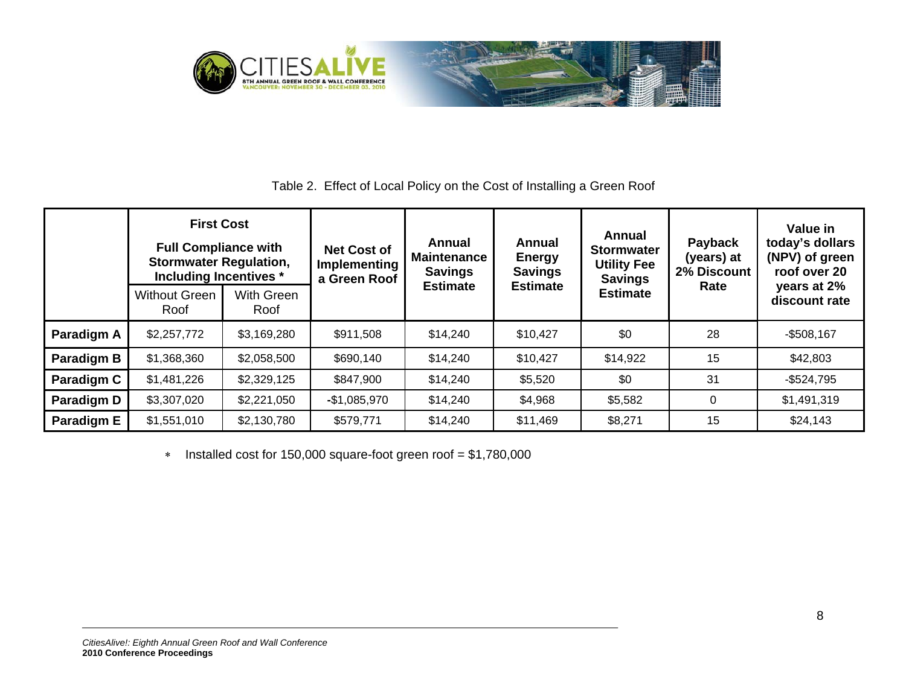

## Table 2. Effect of Local Policy on the Cost of Installing a Green Roof

| <b>First Cost</b><br><b>Full Compliance with</b><br><b>Stormwater Regulation,</b><br>Including Incentives * |                              | <b>Net Cost of</b><br>Implementing<br>a Green Roof | Annual<br><b>Maintenance</b><br><b>Savings</b> | Annual<br><b>Energy</b><br><b>Savings</b> | Annual<br><b>Stormwater</b><br><b>Utility Fee</b><br><b>Savings</b> | Payback<br>(years) at<br>2% Discount | Value in<br>today's dollars<br>(NPV) of green<br>roof over 20 |                              |
|-------------------------------------------------------------------------------------------------------------|------------------------------|----------------------------------------------------|------------------------------------------------|-------------------------------------------|---------------------------------------------------------------------|--------------------------------------|---------------------------------------------------------------|------------------------------|
|                                                                                                             | <b>Without Green</b><br>Roof | With Green<br>Roof                                 |                                                | <b>Estimate</b>                           | <b>Estimate</b>                                                     | <b>Estimate</b>                      | Rate                                                          | years at 2%<br>discount rate |
| Paradigm A                                                                                                  | \$2,257,772                  | \$3,169,280                                        | \$911,508                                      | \$14,240                                  | \$10,427                                                            | \$0                                  | 28                                                            | $-$508,167$                  |
| Paradigm B                                                                                                  | \$1,368,360                  | \$2,058,500                                        | \$690,140                                      | \$14,240                                  | \$10,427                                                            | \$14,922                             | 15                                                            | \$42,803                     |
| Paradigm C                                                                                                  | \$1,481,226                  | \$2,329,125                                        | \$847,900                                      | \$14,240                                  | \$5,520                                                             | \$0                                  | 31                                                            | $-$ \$524,795                |
| Paradigm D                                                                                                  | \$3,307,020                  | \$2,221,050                                        | $-$1,085,970$                                  | \$14,240                                  | \$4,968                                                             | \$5,582                              | $\Omega$                                                      | \$1,491,319                  |
| Paradigm E                                                                                                  | \$1,551,010                  | \$2,130,780                                        | \$579,771                                      | \$14,240                                  | \$11,469                                                            | \$8,271                              | 15                                                            | \$24,143                     |

∗ Installed cost for 150,000 square-foot green roof = \$1,780,000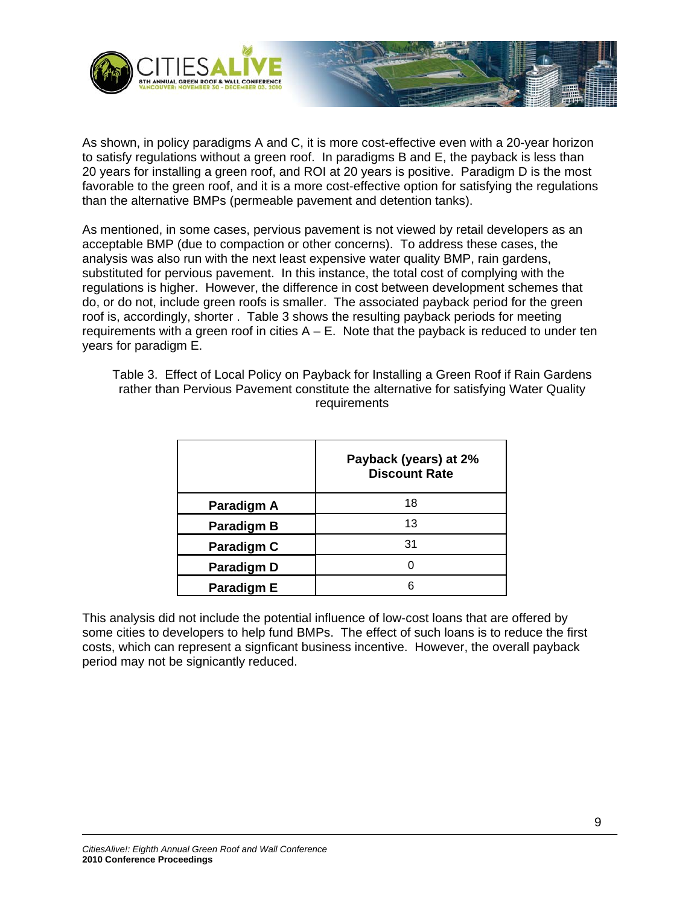



As shown, in policy paradigms A and C, it is more cost-effective even with a 20-year horizon to satisfy regulations without a green roof. In paradigms B and E, the payback is less than 20 years for installing a green roof, and ROI at 20 years is positive. Paradigm D is the most favorable to the green roof, and it is a more cost-effective option for satisfying the regulations than the alternative BMPs (permeable pavement and detention tanks).

As mentioned, in some cases, pervious pavement is not viewed by retail developers as an acceptable BMP (due to compaction or other concerns). To address these cases, the analysis was also run with the next least expensive water quality BMP, rain gardens, substituted for pervious pavement. In this instance, the total cost of complying with the regulations is higher. However, the difference in cost between development schemes that do, or do not, include green roofs is smaller. The associated payback period for the green roof is, accordingly, shorter . Table 3 shows the resulting payback periods for meeting requirements with a green roof in cities  $A - E$ . Note that the payback is reduced to under ten years for paradigm E.

| Table 3. Effect of Local Policy on Payback for Installing a Green Roof if Rain Gardens |
|----------------------------------------------------------------------------------------|
| rather than Pervious Pavement constitute the alternative for satisfying Water Quality  |
| requirements                                                                           |

|                   | Payback (years) at 2%<br><b>Discount Rate</b> |
|-------------------|-----------------------------------------------|
| Paradigm A        | 18                                            |
| <b>Paradigm B</b> | 13                                            |
| Paradigm C        | 31                                            |
| <b>Paradigm D</b> |                                               |
| Paradigm E        |                                               |

This analysis did not include the potential influence of low-cost loans that are offered by some cities to developers to help fund BMPs. The effect of such loans is to reduce the first costs, which can represent a signficant business incentive. However, the overall payback period may not be signicantly reduced.